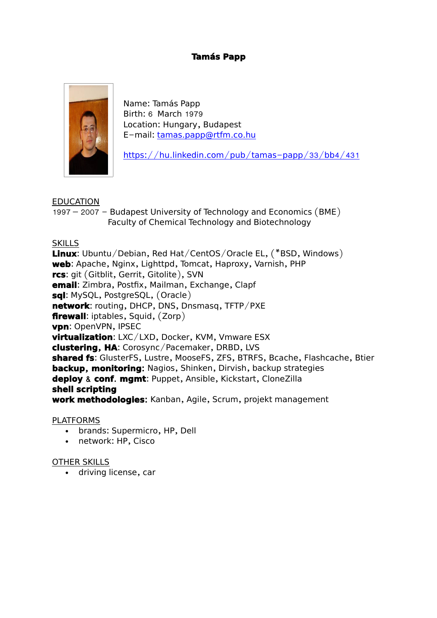## **Tamás Papp**



Name: Tamás Papp Birth: 6 March 1979 Location: Hungary, Budapest E-mail: tamas.papp@rtfm.co.hu

https://hu.linkedin.com/pub/tamas-papp/33/bb4/431

### EDUCATION

 $1997 - 2007 -$  Budapest University of Technology and Economics (BME) Faculty of Chemical Technology and Biotechnology

### SKILLS

**Linux**: Ubuntu/Debian, Red Hat/CentOS/Oracle EL, (\*BSD, Windows) web: Apache, Nginx, Lighttpd, Tomcat, Haproxy, Varnish, PHP **rcs**: git ( Gitblit, Gerrit, Gitolite ), SVN **email**: Zimbra, Postfix, Mailman, Exchange, Clapf **sql**: MySQL, PostgreSQL, (Oracle) **network:** routing, DHCP, DNS, Dnsmasq, TFTP/PXE **firewall:** iptables, Squid, (Zorp) **vpn**: OpenVPN, IPSEC **virtualization**: LXC/LXD, Docker, KVM, Vmware ESX **clustering, HA:** Corosync/Pacemaker, DRBD, LVS **shared fs**: GlusterFS, Lustre, MooseFS, ZFS, BTRFS, Bcache, Flashcache, Btier **backup, monitoring:** Nagios, Shinken, Dirvish, backup strategies **deploy & conf. mgmt: Puppet, Ansible, Kickstart, CloneZilla shell scripting work methodologies:** Kanban, Agile, Scrum, projekt management

### PLATFORMS

- brands: Supermicro, HP, Dell
- network: HP, Cisco

### OTHER SKILLS

driving license, car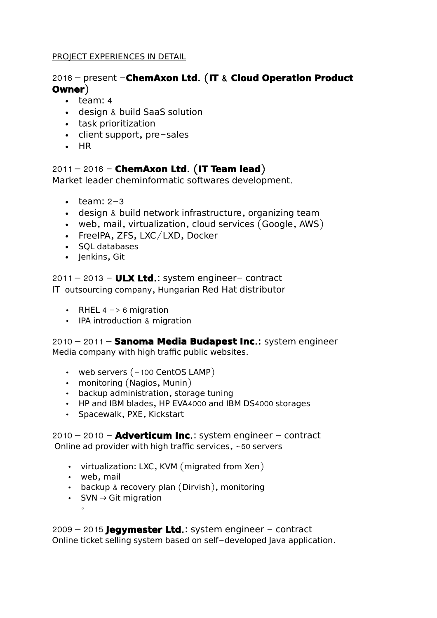### PROJECT EXPERIENCES IN DETAIL

# 2016 – present - ChemAxon Ltd. (IT & Cloud Operation Product **Owner**)

- $\cdot$  team: 4
- design & build SaaS solution
- task prioritization
- $\cdot$  client support, pre-sales
- $\cdot$  HR

## **2011 – 2016 – ChemAxon Ltd. (IT Team lead)**

Market leader cheminformatic softwares development.

- $\cdot$  team: 2-3
- $\cdot$  design & build network infrastructure, organizing team
- web, mail, virtualization, cloud services  $(Google, AWS)$
- $\cdot$  FreeIPA, ZFS, LXC/LXD, Docker
- SOL databases
- $\cdot$  lenkins, Git

 $2011 - 2013 - \text{ULX Ltd.}$ : system engineer- contract IT outsourcing company, Hungarian Red Hat distributor

- RHEL 4  $\rightarrow$  6 migration
- IPA introduction  $&$  migration

2010 – 2011 – **Sanoma Media Budapest Inc**.: system engineer Media company with high traffic public websites.

- web servers  $($  ~100 CentOS LAMP)
- $\cdot$  monitoring (Nagios, Munin)
- backup administration, storage tuning
- HP and IBM blades, HP EVA4000 and IBM DS4000 storages
- Spacewalk, PXE, Kickstart

 $2010 - 2010 -$  **Adverticum Inc.:** system engineer  $-$  contract Online ad provider with high traffic services,  $~50$  servers

- virtualization: LXC, KVM (migrated from Xen)
- web, mail

 $^{\circ}$ 

- $\cdot$  backup & recovery plan (Dirvish), monitoring
- SVN → Git migration

 $2009 - 2015$  **Jegymester Ltd.:** system engineer  $-$  contract Online ticket selling system based on self-developed Java application.